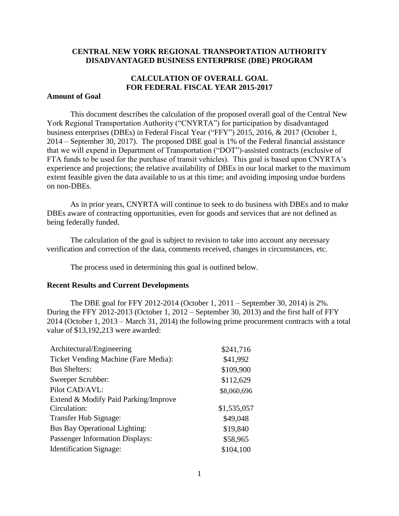## **CENTRAL NEW YORK REGIONAL TRANSPORTATION AUTHORITY DISADVANTAGED BUSINESS ENTERPRISE (DBE) PROGRAM**

# **CALCULATION OF OVERALL GOAL FOR FEDERAL FISCAL YEAR 2015-2017**

## **Amount of Goal**

This document describes the calculation of the proposed overall goal of the Central New York Regional Transportation Authority ("CNYRTA") for participation by disadvantaged business enterprises (DBEs) in Federal Fiscal Year ("FFY") 2015, 2016, & 2017 (October 1, 2014 – September 30, 2017). The proposed DBE goal is 1% of the Federal financial assistance that we will expend in Department of Transportation ("DOT")-assisted contracts (exclusive of FTA funds to be used for the purchase of transit vehicles). This goal is based upon CNYRTA's experience and projections; the relative availability of DBEs in our local market to the maximum extent feasible given the data available to us at this time; and avoiding imposing undue burdens on non-DBEs.

As in prior years, CNYRTA will continue to seek to do business with DBEs and to make DBEs aware of contracting opportunities, even for goods and services that are not defined as being federally funded.

The calculation of the goal is subject to revision to take into account any necessary verification and correction of the data, comments received, changes in circumstances, etc.

The process used in determining this goal is outlined below.

#### **Recent Results and Current Developments**

The DBE goal for FFY 2012-2014 (October 1, 2011 – September 30, 2014) is 2%. During the FFY 2012-2013 (October 1, 2012 – September 30, 2013) and the first half of FFY 2014 (October 1, 2013 – March 31, 2014) the following prime procurement contracts with a total value of \$13,192,213 were awarded:

| Architectural/Engineering              | \$241,716   |
|----------------------------------------|-------------|
| Ticket Vending Machine (Fare Media):   | \$41,992    |
| <b>Bus Shelters:</b>                   | \$109,900   |
| Sweeper Scrubber:                      | \$112,629   |
| Pilot CAD/AVL:                         | \$8,060,696 |
| Extend & Modify Paid Parking/Improve   |             |
| Circulation:                           | \$1,535,057 |
| Transfer Hub Signage:                  | \$49,048    |
| <b>Bus Bay Operational Lighting:</b>   | \$19,840    |
| <b>Passenger Information Displays:</b> | \$58,965    |
| <b>Identification Signage:</b>         | \$104,100   |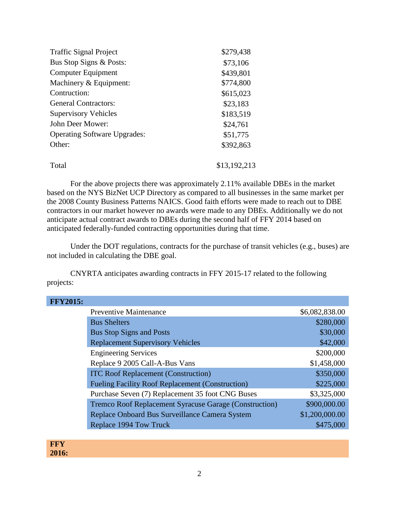| <b>Traffic Signal Project</b>       | \$279,438    |
|-------------------------------------|--------------|
| Bus Stop Signs & Posts:             | \$73,106     |
| Computer Equipment                  | \$439,801    |
| Machinery & Equipment:              | \$774,800    |
| Contruction:                        | \$615,023    |
| <b>General Contractors:</b>         | \$23,183     |
| <b>Supervisory Vehicles</b>         | \$183,519    |
| John Deer Mower:                    | \$24,761     |
| <b>Operating Software Upgrades:</b> | \$51,775     |
| Other:                              | \$392,863    |
| Total                               | \$13,192,213 |

For the above projects there was approximately 2.11% available DBEs in the market based on the NYS BizNet UCP Directory as compared to all businesses in the same market per the 2008 County Business Patterns NAICS. Good faith efforts were made to reach out to DBE contractors in our market however no awards were made to any DBEs. Additionally we do not anticipate actual contract awards to DBEs during the second half of FFY 2014 based on anticipated federally-funded contracting opportunities during that time.

Under the DOT regulations, contracts for the purchase of transit vehicles (e.g., buses) are not included in calculating the DBE goal.

CNYRTA anticipates awarding contracts in FFY 2015-17 related to the following projects:

| <b>FFY2015:</b> |                                                         |                |
|-----------------|---------------------------------------------------------|----------------|
|                 | <b>Preventive Maintenance</b>                           | \$6,082,838.00 |
|                 | <b>Bus Shelters</b>                                     | \$280,000      |
|                 | <b>Bus Stop Signs and Posts</b>                         | \$30,000       |
|                 | <b>Replacement Supervisory Vehicles</b>                 | \$42,000       |
|                 | <b>Engineering Services</b>                             | \$200,000      |
|                 | Replace 9 2005 Call-A-Bus Vans                          | \$1,458,000    |
|                 | <b>ITC Roof Replacement (Construction)</b>              | \$350,000      |
|                 | <b>Fueling Facility Roof Replacement (Construction)</b> | \$225,000      |
|                 | Purchase Seven (7) Replacement 35 foot CNG Buses        | \$3,325,000    |
|                 | Tremco Roof Replacement Syracuse Garage (Construction)  | \$900,000.00   |
|                 | Replace Onboard Bus Surveillance Camera System          | \$1,200,000.00 |
|                 | Replace 1994 Tow Truck                                  | \$475,000      |
|                 |                                                         |                |

**FFY 2016:**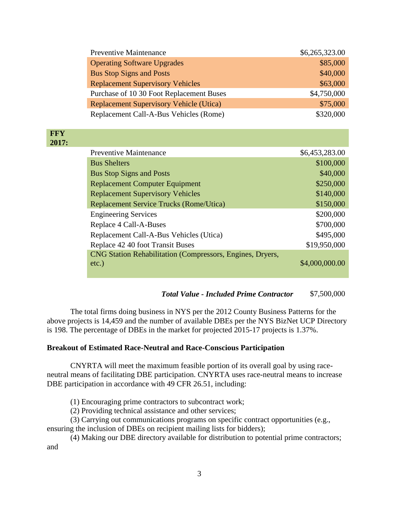| <b>Preventive Maintenance</b>                  | \$6,265,323.00 |
|------------------------------------------------|----------------|
| <b>Operating Software Upgrades</b>             | \$85,000       |
| <b>Bus Stop Signs and Posts</b>                | \$40,000       |
| <b>Replacement Supervisory Vehicles</b>        | \$63,000       |
| Purchase of 10 30 Foot Replacement Buses       | \$4,750,000    |
| <b>Replacement Supervisory Vehicle (Utica)</b> | \$75,000       |
| Replacement Call-A-Bus Vehicles (Rome)         | \$320,000      |
|                                                |                |

#### **FFY 2017:**

| <b>Preventive Maintenance</b>                             | \$6,453,283.00 |
|-----------------------------------------------------------|----------------|
| <b>Bus Shelters</b>                                       | \$100,000      |
| <b>Bus Stop Signs and Posts</b>                           | \$40,000       |
| <b>Replacement Computer Equipment</b>                     | \$250,000      |
| <b>Replacement Supervisory Vehicles</b>                   | \$140,000      |
| <b>Replacement Service Trucks (Rome/Utica)</b>            | \$150,000      |
| <b>Engineering Services</b>                               | \$200,000      |
| Replace 4 Call-A-Buses                                    | \$700,000      |
| Replacement Call-A-Bus Vehicles (Utica)                   | \$495,000      |
| Replace 42 40 foot Transit Buses                          | \$19,950,000   |
| CNG Station Rehabilitation (Compressors, Engines, Dryers, |                |
| $etc.$ )                                                  | \$4,000,000.00 |
|                                                           |                |

## *Total Value - Included Prime Contractor* \$7,500,000

The total firms doing business in NYS per the 2012 County Business Patterns for the above projects is 14,459 and the number of available DBEs per the NYS BizNet UCP Directory is 198. The percentage of DBEs in the market for projected 2015-17 projects is 1.37%.

## **Breakout of Estimated Race-Neutral and Race-Conscious Participation**

CNYRTA will meet the maximum feasible portion of its overall goal by using raceneutral means of facilitating DBE participation. CNYRTA uses race-neutral means to increase DBE participation in accordance with 49 CFR 26.51, including:

(1) Encouraging prime contractors to subcontract work;

(2) Providing technical assistance and other services;

(3) Carrying out communications programs on specific contract opportunities (e.g.,

ensuring the inclusion of DBEs on recipient mailing lists for bidders);

(4) Making our DBE directory available for distribution to potential prime contractors; and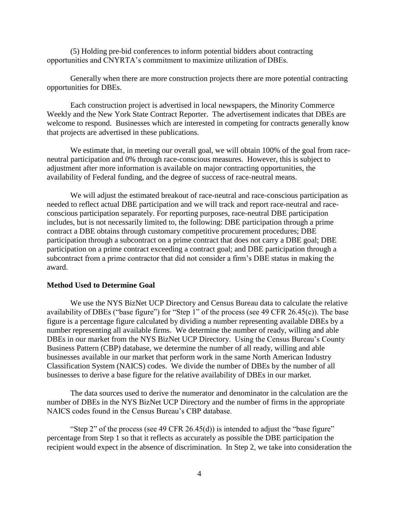(5) Holding pre-bid conferences to inform potential bidders about contracting opportunities and CNYRTA's commitment to maximize utilization of DBEs.

Generally when there are more construction projects there are more potential contracting opportunities for DBEs.

Each construction project is advertised in local newspapers, the Minority Commerce Weekly and the New York State Contract Reporter. The advertisement indicates that DBEs are welcome to respond. Businesses which are interested in competing for contracts generally know that projects are advertised in these publications.

We estimate that, in meeting our overall goal, we will obtain 100% of the goal from raceneutral participation and 0% through race-conscious measures. However, this is subject to adjustment after more information is available on major contracting opportunities, the availability of Federal funding, and the degree of success of race-neutral means.

We will adjust the estimated breakout of race-neutral and race-conscious participation as needed to reflect actual DBE participation and we will track and report race-neutral and raceconscious participation separately. For reporting purposes, race-neutral DBE participation includes, but is not necessarily limited to, the following: DBE participation through a prime contract a DBE obtains through customary competitive procurement procedures; DBE participation through a subcontract on a prime contract that does not carry a DBE goal; DBE participation on a prime contract exceeding a contract goal; and DBE participation through a subcontract from a prime contractor that did not consider a firm's DBE status in making the award.

#### **Method Used to Determine Goal**

We use the NYS BizNet UCP Directory and Census Bureau data to calculate the relative availability of DBEs ("base figure") for "Step 1" of the process (see 49 CFR 26.45(c)). The base figure is a percentage figure calculated by dividing a number representing available DBEs by a number representing all available firms. We determine the number of ready, willing and able DBEs in our market from the NYS BizNet UCP Directory. Using the Census Bureau's County Business Pattern (CBP) database, we determine the number of all ready, willing and able businesses available in our market that perform work in the same North American Industry Classification System (NAICS) codes. We divide the number of DBEs by the number of all businesses to derive a base figure for the relative availability of DBEs in our market.

The data sources used to derive the numerator and denominator in the calculation are the number of DBEs in the NYS BizNet UCP Directory and the number of firms in the appropriate NAICS codes found in the Census Bureau's CBP database.

"Step 2" of the process (see 49 CFR 26.45(d)) is intended to adjust the "base figure" percentage from Step 1 so that it reflects as accurately as possible the DBE participation the recipient would expect in the absence of discrimination. In Step 2, we take into consideration the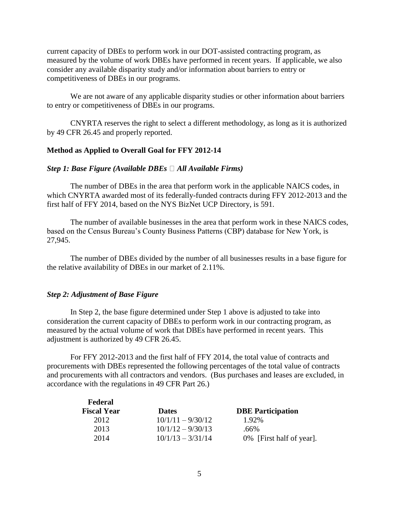current capacity of DBEs to perform work in our DOT-assisted contracting program, as measured by the volume of work DBEs have performed in recent years. If applicable, we also consider any available disparity study and/or information about barriers to entry or competitiveness of DBEs in our programs.

We are not aware of any applicable disparity studies or other information about barriers to entry or competitiveness of DBEs in our programs.

CNYRTA reserves the right to select a different methodology, as long as it is authorized by 49 CFR 26.45 and properly reported.

## **Method as Applied to Overall Goal for FFY 2012-14**

#### *Step 1: Base Figure (Available DBEs*  $\Box$  *All Available Firms)*

The number of DBEs in the area that perform work in the applicable NAICS codes, in which CNYRTA awarded most of its federally-funded contracts during FFY 2012-2013 and the first half of FFY 2014, based on the NYS BizNet UCP Directory, is 591.

The number of available businesses in the area that perform work in these NAICS codes, based on the Census Bureau's County Business Patterns (CBP) database for New York, is 27,945.

The number of DBEs divided by the number of all businesses results in a base figure for the relative availability of DBEs in our market of 2.11%.

#### *Step 2: Adjustment of Base Figure*

In Step 2, the base figure determined under Step 1 above is adjusted to take into consideration the current capacity of DBEs to perform work in our contracting program, as measured by the actual volume of work that DBEs have performed in recent years. This adjustment is authorized by 49 CFR 26.45.

For FFY 2012-2013 and the first half of FFY 2014, the total value of contracts and procurements with DBEs represented the following percentages of the total value of contracts and procurements with all contractors and vendors. (Bus purchases and leases are excluded, in accordance with the regulations in 49 CFR Part 26.)

| <b>Dates</b>        | <b>DBE</b> Participation |
|---------------------|--------------------------|
| $10/1/11 - 9/30/12$ | 1.92%                    |
| $10/1/12 - 9/30/13$ | .66%                     |
| $10/1/13 - 3/31/14$ | 0% [First half of year]. |
|                     |                          |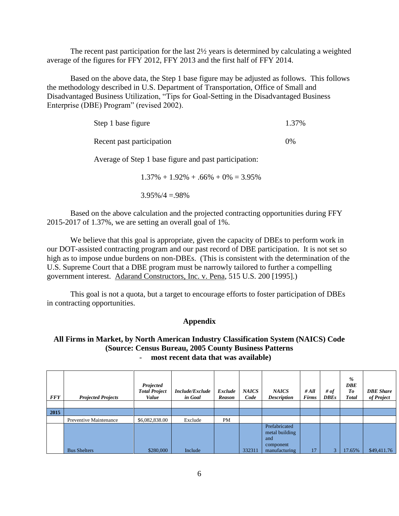The recent past participation for the last 2½ years is determined by calculating a weighted average of the figures for FFY 2012, FFY 2013 and the first half of FFY 2014.

Based on the above data, the Step 1 base figure may be adjusted as follows. This follows the methodology described in U.S. Department of Transportation, Office of Small and Disadvantaged Business Utilization, "Tips for Goal-Setting in the Disadvantaged Business Enterprise (DBE) Program" (revised 2002).

| Step 1 base figure                                                                                                                                                                                                                                                                                                                                                                                           | 1.37% |
|--------------------------------------------------------------------------------------------------------------------------------------------------------------------------------------------------------------------------------------------------------------------------------------------------------------------------------------------------------------------------------------------------------------|-------|
| Recent past participation                                                                                                                                                                                                                                                                                                                                                                                    | $0\%$ |
| Average of Step 1 base figure and past participation:                                                                                                                                                                                                                                                                                                                                                        |       |
| $\sim$ $\sim$ $\sim$<br>$\overline{a}$ $\overline{a}$ $\overline{a}$ $\overline{b}$ $\overline{c}$ $\overline{c}$ $\overline{c}$ $\overline{c}$ $\overline{c}$ $\overline{c}$ $\overline{c}$ $\overline{c}$ $\overline{c}$ $\overline{c}$ $\overline{c}$ $\overline{c}$ $\overline{c}$ $\overline{c}$ $\overline{c}$ $\overline{c}$ $\overline{c}$ $\overline{c}$ $\overline{c}$ $\overline{c}$ $\overline{$ |       |

 $1.37\% + 1.92\% + .66\% + 0\% = 3.95\%$ 

 $3.95\%/4 = .98\%$ 

Based on the above calculation and the projected contracting opportunities during FFY 2015-2017 of 1.37%, we are setting an overall goal of 1%.

We believe that this goal is appropriate, given the capacity of DBEs to perform work in our DOT-assisted contracting program and our past record of DBE participation. It is not set so high as to impose undue burdens on non-DBEs. (This is consistent with the determination of the U.S. Supreme Court that a DBE program must be narrowly tailored to further a compelling government interest. Adarand Constructors, Inc. v. Pena, 515 U.S. 200 [1995].)

This goal is not a quota, but a target to encourage efforts to foster participation of DBEs in contracting opportunities.

## **Appendix**

## **All Firms in Market, by North American Industry Classification System (NAICS) Code (Source: Census Bureau, 2005 County Business Patterns** - **most recent data that was available)**

| <b>FFY</b> | <b>Projected Projects</b> | Projected<br><b>Total Project</b><br>Value | Include/Exclude<br>in Goal | Exclude<br><b>Reason</b> | <b>NAICS</b><br>Code | <b>NAICS</b><br><b>Description</b>                                   | #All<br><b>Firms</b> | # of<br><b>DBEs</b> | %<br><b>DBE</b><br>To<br><b>Total</b> | <b>DBE</b> Share<br>of Project |
|------------|---------------------------|--------------------------------------------|----------------------------|--------------------------|----------------------|----------------------------------------------------------------------|----------------------|---------------------|---------------------------------------|--------------------------------|
|            |                           |                                            |                            |                          |                      |                                                                      |                      |                     |                                       |                                |
| 2015       |                           |                                            |                            |                          |                      |                                                                      |                      |                     |                                       |                                |
|            | Preventive Maintenance    | \$6,082,838.00                             | Exclude                    | <b>PM</b>                |                      |                                                                      |                      |                     |                                       |                                |
|            | <b>Bus Shelters</b>       | \$280,000                                  | Include                    |                          | 332311               | Prefabricated<br>metal building<br>and<br>component<br>manufacturing | 17                   | 3 <sup>1</sup>      | 17.65%                                | \$49,411.76                    |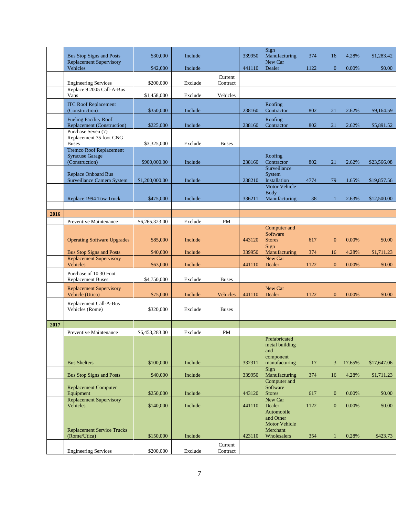|      |                                                                            |                |         |                     |        | Sign                                                 |      |                |        |             |
|------|----------------------------------------------------------------------------|----------------|---------|---------------------|--------|------------------------------------------------------|------|----------------|--------|-------------|
|      | <b>Bus Stop Signs and Posts</b>                                            | \$30,000       | Include |                     | 339950 | Manufacturing                                        | 374  | 16             | 4.28%  | \$1,283.42  |
|      | <b>Replacement Supervisory</b><br>Vehicles                                 | \$42,000       | Include |                     | 441110 | New Car<br>Dealer                                    | 1122 | $\overline{0}$ | 0.00%  | \$0.00      |
|      |                                                                            |                |         | Current             |        |                                                      |      |                |        |             |
|      | <b>Engineering Services</b>                                                | \$200,000      | Exclude | Contract            |        |                                                      |      |                |        |             |
|      | Replace 9 2005 Call-A-Bus<br>Vans                                          | \$1,458,000    | Exclude | Vehicles            |        |                                                      |      |                |        |             |
|      | <b>ITC Roof Replacement</b><br>(Construction)                              | \$350,000      | Include |                     | 238160 | Roofing<br>Contractor                                | 802  | 21             | 2.62%  | \$9,164.59  |
|      | <b>Fueling Facility Roof</b><br><b>Replacement (Construction)</b>          | \$225,000      | Include |                     | 238160 | Roofing<br>Contractor                                | 802  | 21             | 2.62%  | \$5,891.52  |
|      | Purchase Seven (7)<br>Replacement 35 foot CNG<br><b>Buses</b>              | \$3,325,000    | Exclude | <b>Buses</b>        |        |                                                      |      |                |        |             |
|      | <b>Tremco Roof Replacement</b><br><b>Syracuse Garage</b><br>(Construction) | \$900,000.00   | Include |                     | 238160 | Roofing<br>Contractor                                | 802  | 21             | 2.62%  | \$23,566.08 |
|      | <b>Replace Onboard Bus</b><br>Surveillance Camera System                   | \$1,200,000.00 | Include |                     | 238210 | Surveillance<br>System<br>Installation               | 4774 | 79             | 1.65%  | \$19,857.56 |
|      | Replace 1994 Tow Truck                                                     | \$475,000      | Include |                     | 336211 | <b>Motor Vehicle</b><br><b>Body</b><br>Manufacturing | 38   | $\mathbf{1}$   | 2.63%  | \$12,500.00 |
|      |                                                                            |                |         |                     |        |                                                      |      |                |        |             |
| 2016 |                                                                            |                |         |                     |        |                                                      |      |                |        |             |
|      | Preventive Maintenance                                                     | \$6,265,323.00 | Exclude | <b>PM</b>           |        | Computer and                                         |      |                |        |             |
|      | <b>Operating Software Upgrades</b>                                         | \$85,000       | Include |                     | 443120 | Software<br><b>Stores</b>                            | 617  | $\mathbf{0}$   | 0.00%  | \$0.00      |
|      | <b>Bus Stop Signs and Posts</b>                                            | \$40,000       | Include |                     | 339950 | Sign<br>Manufacturing                                | 374  | 16             | 4.28%  | \$1,711.23  |
|      | <b>Replacement Supervisory</b><br>Vehicles                                 | \$63,000       | Include |                     | 441110 | New Car<br>Dealer                                    | 1122 | $\overline{0}$ | 0.00%  | \$0.00      |
|      | Purchase of 10 30 Foot<br><b>Replacement Buses</b>                         | \$4,750,000    | Exclude | <b>Buses</b>        |        |                                                      |      |                |        |             |
|      | <b>Replacement Supervisory</b><br>Vehicle (Utica)                          | \$75,000       | Include | Vehicles            | 441110 | New Car<br>Dealer                                    | 1122 | $\mathbf{0}$   | 0.00%  | \$0.00      |
|      | Replacement Call-A-Bus<br>Vehicles (Rome)                                  | \$320,000      | Exclude | <b>Buses</b>        |        |                                                      |      |                |        |             |
|      |                                                                            |                |         |                     |        |                                                      |      |                |        |             |
| 2017 | <b>Preventive Maintenance</b>                                              | \$6,453,283.00 | Exclude | PM                  |        |                                                      |      |                |        |             |
|      |                                                                            |                |         |                     |        | Prefabricated<br>metal building<br>and<br>component  |      |                |        |             |
|      | <b>Bus Shelters</b>                                                        | \$100,000      | Include |                     | 332311 | manufacturing                                        | 17   | 3              | 17.65% | \$17,647.06 |
|      | <b>Bus Stop Signs and Posts</b>                                            | \$40,000       | Include |                     | 339950 | Sign<br>Manufacturing<br>Computer and                | 374  | 16             | 4.28%  | \$1,711.23  |
|      | <b>Replacement Computer</b><br>Equipment                                   | \$250,000      | Include |                     | 443120 | Software<br>Stores                                   | 617  | $\overline{0}$ | 0.00%  | \$0.00      |
|      | <b>Replacement Supervisory</b><br>Vehicles                                 | \$140,000      | Include |                     | 441110 | New Car<br>Dealer                                    | 1122 | $\mathbf{0}$   | 0.00%  | \$0.00      |
|      | <b>Replacement Service Trucks</b>                                          |                |         |                     |        | Automobile<br>and Other<br>Motor Vehicle<br>Merchant |      |                |        |             |
|      | (Rome/Utica)                                                               | \$150,000      | Include |                     | 423110 | Wholesalers                                          | 354  | $\mathbf{1}$   | 0.28%  | \$423.73    |
|      | <b>Engineering Services</b>                                                | \$200,000      | Exclude | Current<br>Contract |        |                                                      |      |                |        |             |